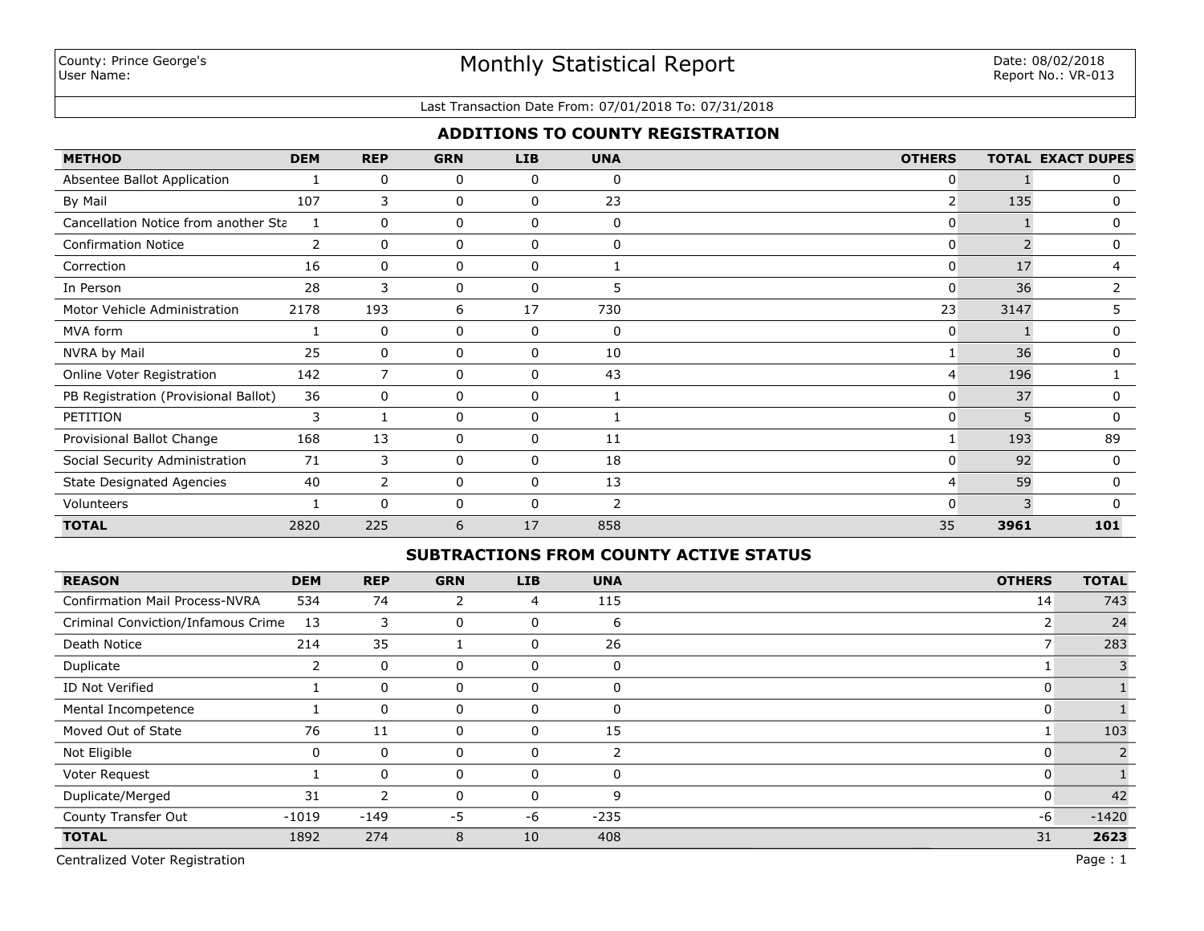### Last Transaction Date From: 07/01/2018 To: 07/31/2018

### **ADDITIONS TO COUNTY REGISTRATION**

| <b>METHOD</b>                        | <b>DEM</b>     | <b>REP</b>   | <b>GRN</b>   | <b>LIB</b>  | <b>UNA</b>   | <b>OTHERS</b>  |      | <b>TOTAL EXACT DUPES</b> |
|--------------------------------------|----------------|--------------|--------------|-------------|--------------|----------------|------|--------------------------|
| Absentee Ballot Application          |                | 0            | 0            | 0           | 0            | 0              |      | 0                        |
| By Mail                              | 107            | 3            | 0            | 0           | 23           | $\overline{2}$ | 135  | 0                        |
| Cancellation Notice from another Sta |                | $\mathbf{0}$ | 0            | 0           | 0            | 0              |      | 0                        |
| <b>Confirmation Notice</b>           | $\overline{2}$ | $\mathbf{0}$ | 0            | 0           | $\mathbf{0}$ | 0              |      | 0                        |
| Correction                           | 16             | $\mathbf{0}$ | $\Omega$     | 0           |              | $\Omega$       | 17   | 4                        |
| In Person                            | 28             | 3            | 0            | $\Omega$    | 5            | $\Omega$       | 36   | 2                        |
| Motor Vehicle Administration         | 2178           | 193          | 6            | 17          | 730          | 23             | 3147 | 5.                       |
| MVA form                             |                | 0            | 0            | $\mathbf 0$ | 0            | 0              |      | 0                        |
| NVRA by Mail                         | 25             | 0            | 0            | $\mathbf 0$ | 10           | 1              | 36   | 0                        |
| Online Voter Registration            | 142            | 7            | 0            | 0           | 43           | $\overline{4}$ | 196  |                          |
| PB Registration (Provisional Ballot) | 36             | 0            | 0            | 0           |              | 0              | 37   |                          |
| PETITION                             | 3              |              | 0            | 0           |              | 0              |      | 0                        |
| Provisional Ballot Change            | 168            | 13           | 0            | 0           | 11           |                | 193  | 89                       |
| Social Security Administration       | 71             | 3            | $\mathbf{0}$ | 0           | 18           | 0              | 92   | 0                        |
| <b>State Designated Agencies</b>     | 40             | 2            | 0            | $\mathbf 0$ | 13           | 4              | 59   | 0                        |
| Volunteers                           |                | $\mathbf{0}$ | 0            | $\mathbf 0$ | 2            | 0              | 3    | $\Omega$                 |
| <b>TOTAL</b>                         | 2820           | 225          | 6            | 17          | 858          | 35             | 3961 | 101                      |

### **SUBTRACTIONS FROM COUNTY ACTIVE STATUS**

| <b>REASON</b>                         | <b>DEM</b> | <b>REP</b>  | <b>GRN</b> | <b>LIB</b> | <b>UNA</b>     | <b>OTHERS</b> | <b>TOTAL</b> |
|---------------------------------------|------------|-------------|------------|------------|----------------|---------------|--------------|
| <b>Confirmation Mail Process-NVRA</b> | 534        | 74          | 2          | 4          | 115            | 14            | 743          |
| Criminal Conviction/Infamous Crime    | 13         | 3           | 0          | 0          | 6              |               | 24           |
| Death Notice                          | 214        | 35          |            | 0          | 26             |               | 283          |
| Duplicate                             |            | 0           | 0          | 0          | $\Omega$       |               |              |
| ID Not Verified                       |            | 0           | 0          | 0          | $\overline{0}$ | 0             |              |
| Mental Incompetence                   |            | 0           | 0          | 0          | $\Omega$       | 0             |              |
| Moved Out of State                    | 76         | 11          | 0          | 0          | 15             |               | 103          |
| Not Eligible                          | 0          | $\mathbf 0$ | 0          | $\Omega$   | $\mathcal{P}$  | 0             |              |
| Voter Request                         |            | 0           | 0          | $\Omega$   | $\Omega$       | 0             |              |
| Duplicate/Merged                      | 31         | 2           | 0          | $\Omega$   | 9              | 0             | 42           |
| County Transfer Out                   | $-1019$    | $-149$      | $-5$       | -6         | $-235$         | -6            | $-1420$      |
| <b>TOTAL</b>                          | 1892       | 274         | 8          | 10         | 408            | 31            | 2623         |

Centralized Voter Registration Page : 1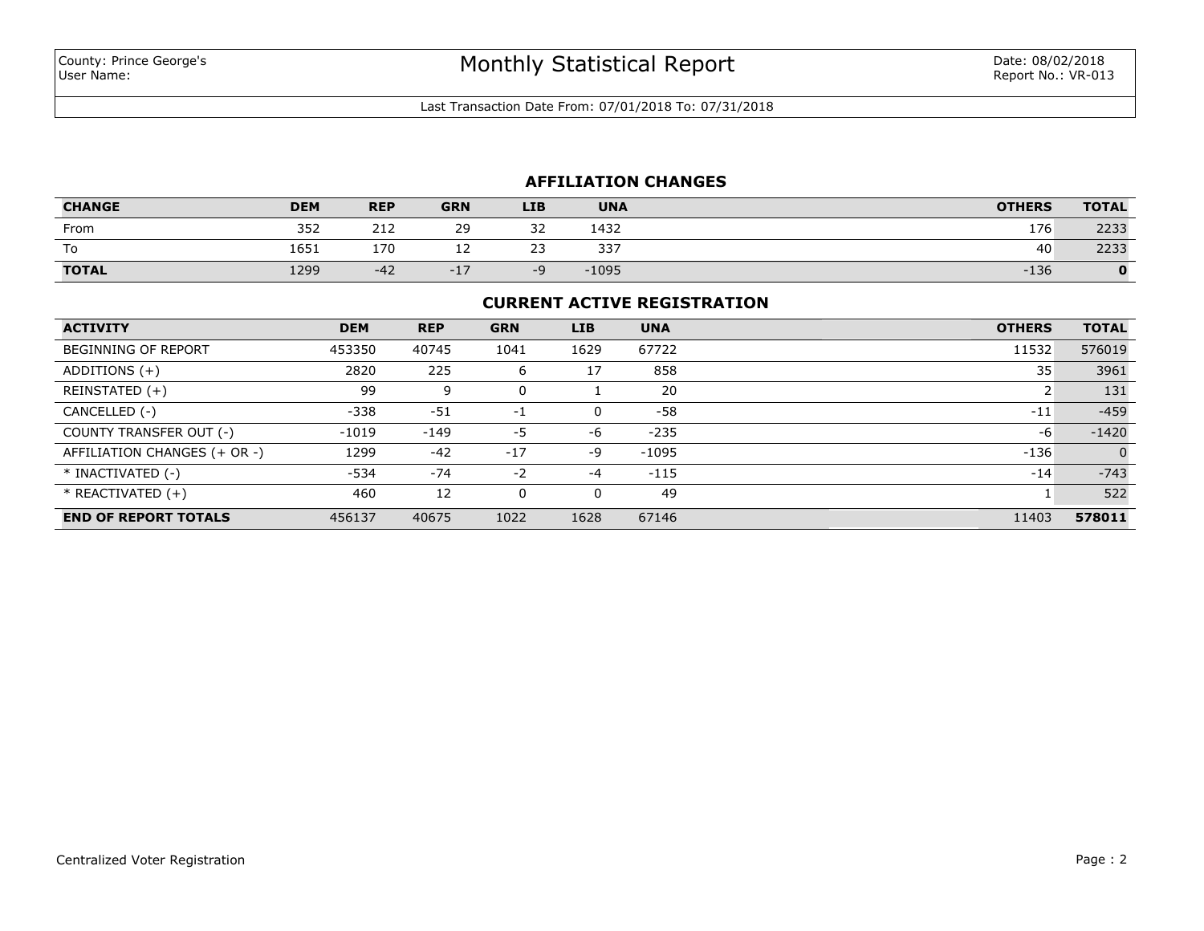Last Transaction Date From: 07/01/2018 To: 07/31/2018

# **AFFILIATION CHANGES**

| <b>CHANGE</b> | <b>DEM</b> | <b>REP</b> | <b>GRN</b> | <b>LIB</b>           | <b>UNA</b> | <b>OTHERS</b> | <b>TOTAL</b> |
|---------------|------------|------------|------------|----------------------|------------|---------------|--------------|
| From          | 352        | 212        | 29         | ີ<br>ے ر             | 1432       | 176           | 2233         |
| To            | 1651       | 170        | --         | $\sim$ $\sim$<br>۔ ۔ | 337        | 40            | 2233         |
| <b>TOTAL</b>  | 1299       | $-42$      | $-1$       | -4                   | $-1095$    | $-136$        | O            |

## **CURRENT ACTIVE REGISTRATION**

| <b>ACTIVITY</b>              | <b>DEM</b> | <b>REP</b> | <b>GRN</b> | <b>LIB</b>   | <b>UNA</b> | <b>OTHERS</b> | <b>TOTAL</b>   |
|------------------------------|------------|------------|------------|--------------|------------|---------------|----------------|
| <b>BEGINNING OF REPORT</b>   | 453350     | 40745      | 1041       | 1629         | 67722      | 11532         | 576019         |
| ADDITIONS $(+)$              | 2820       | 225        | 6          | 17           | 858        | 35            | 3961           |
| REINSTATED (+)               | 99         | 9          | 0          |              | 20         |               | 131            |
| CANCELLED (-)                | $-338$     | $-51$      | $-1$       | <sup>0</sup> | -58        | $-11$         | $-459$         |
| COUNTY TRANSFER OUT (-)      | $-1019$    | $-149$     | -5         | -6           | $-235$     | -6            | $-1420$        |
| AFFILIATION CHANGES (+ OR -) | 1299       | $-42$      | $-17$      | -9           | $-1095$    | $-136$        | $\overline{0}$ |
| * INACTIVATED (-)            | -534       | $-74$      | $-2$       | $-4$         | $-115$     | $-14$         | $-743$         |
| $*$ REACTIVATED $(+)$        | 460        | 12         | $\Omega$   |              | 49         |               | 522            |
| <b>END OF REPORT TOTALS</b>  | 456137     | 40675      | 1022       | 1628         | 67146      | 11403         | 578011         |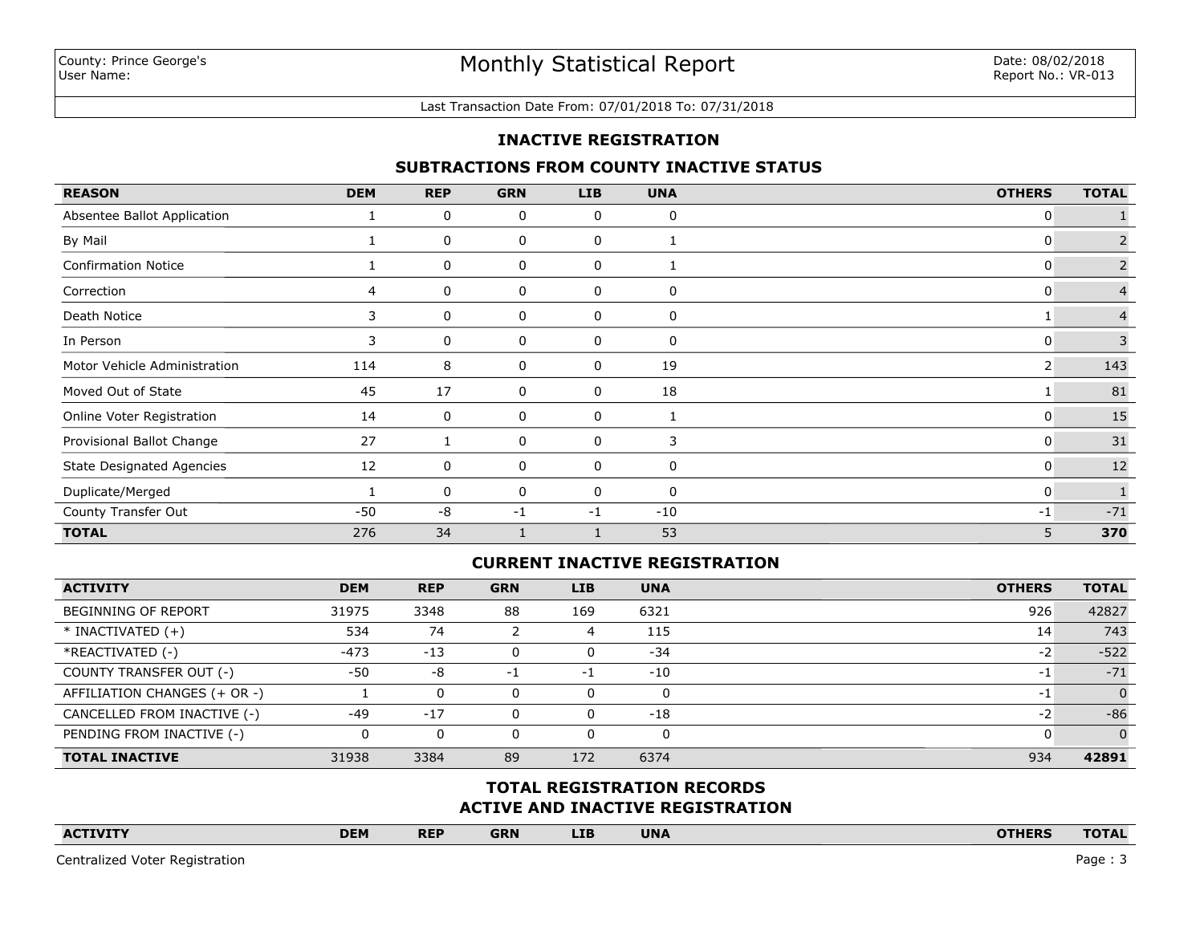#### Last Transaction Date From: 07/01/2018 To: 07/31/2018

### **INACTIVE REGISTRATION**

### **SUBTRACTIONS FROM COUNTY INACTIVE STATUS**

| <b>REASON</b>                    | <b>DEM</b> | <b>REP</b> | <b>GRN</b>  | <b>LIB</b> | <b>UNA</b>   | <b>OTHERS</b>  | <b>TOTAL</b>   |
|----------------------------------|------------|------------|-------------|------------|--------------|----------------|----------------|
| Absentee Ballot Application      |            | 0          | 0           | 0          | 0            | 0              |                |
| By Mail                          |            | 0          | 0           | 0          |              | 0              | 2              |
| <b>Confirmation Notice</b>       |            | 0          | 0           | 0          |              | 0              | $\overline{2}$ |
| Correction                       | 4          | 0          | 0           | 0          | 0            | 0              |                |
| Death Notice                     | 3          | 0          | 0           | 0          | 0            |                |                |
| In Person                        | 3          | 0          | 0           | 0          | 0            | 0              | 3              |
| Motor Vehicle Administration     | 114        | 8          | 0           | 0          | 19           | $\overline{2}$ | 143            |
| Moved Out of State               | 45         | 17         | 0           | 0          | 18           |                | 81             |
| Online Voter Registration        | 14         | 0          | $\mathbf 0$ | 0          | $\mathbf{1}$ | 0              | 15             |
| Provisional Ballot Change        | 27         |            | 0           | 0          | 3            | 0              | 31             |
| <b>State Designated Agencies</b> | 12         | 0          | 0           | 0          | 0            | 0              | $12$           |
| Duplicate/Merged                 |            | 0          | 0           | 0          | 0            | 0              |                |
| County Transfer Out              | $-50$      | $-8$       | $-1$        | -1         | $-10$        | -1             | $-71$          |
| <b>TOTAL</b>                     | 276        | 34         |             |            | 53           | 5              | 370            |

## **CURRENT INACTIVE REGISTRATION**

| <b>ACTIVITY</b>              | <b>DEM</b> | <b>REP</b> | <b>GRN</b> | <b>LIB</b> | <b>UNA</b> | <b>OTHERS</b> | <b>TOTAL</b>   |
|------------------------------|------------|------------|------------|------------|------------|---------------|----------------|
| <b>BEGINNING OF REPORT</b>   | 31975      | 3348       | 88         | 169        | 6321       | 926           | 42827          |
| $*$ INACTIVATED $(+)$        | 534        | 74         |            | 4          | 115        | 14            | 743            |
| *REACTIVATED (-)             | $-473$     | $-13$      |            | 0          | -34        | $-2$          | $-522$         |
| COUNTY TRANSFER OUT (-)      | $-50$      | -8         | - 1        | $-1$       | $-10$      | $-1$          | $-71$          |
| AFFILIATION CHANGES (+ OR -) |            | 0          |            |            | 0          | -1            | $\overline{0}$ |
| CANCELLED FROM INACTIVE (-)  | $-49$      | $-17$      |            | 0          | $-18$      | -2            | $-86$          |
| PENDING FROM INACTIVE (-)    |            | 0          |            |            | 0          |               | $\Omega$       |
| <b>TOTAL INACTIVE</b>        | 31938      | 3384       | 89         | 172        | 6374       | 934           | 42891          |

## **ACTIVE AND INACTIVE REGISTRATION TOTAL REGISTRATION RECORDS**

| <b>ACTIVITY</b> | <b>DEM</b> | <b>REP</b> | <b>GRN</b> | <b>LIB</b> | <b>UNA</b> |  | <b>OTHERS</b> | <b>TOTAL</b> |
|-----------------|------------|------------|------------|------------|------------|--|---------------|--------------|
|                 |            |            |            |            |            |  |               |              |